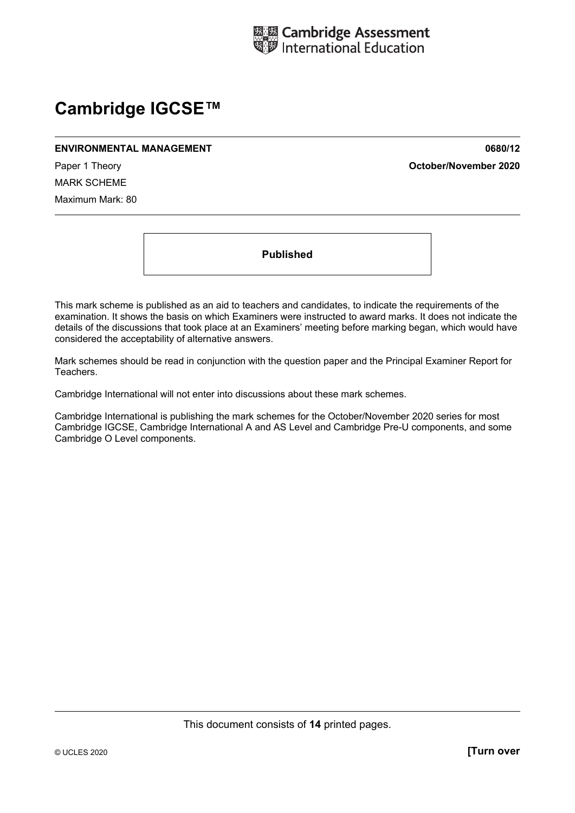

# **Cambridge IGCSE™**

#### **ENVIRONMENTAL MANAGEMENT 0680/12**

Paper 1 Theory **October/November 2020**

MARK SCHEME Maximum Mark: 80

**Published** 

This mark scheme is published as an aid to teachers and candidates, to indicate the requirements of the examination. It shows the basis on which Examiners were instructed to award marks. It does not indicate the details of the discussions that took place at an Examiners' meeting before marking began, which would have considered the acceptability of alternative answers.

Mark schemes should be read in conjunction with the question paper and the Principal Examiner Report for Teachers.

Cambridge International will not enter into discussions about these mark schemes.

Cambridge International is publishing the mark schemes for the October/November 2020 series for most Cambridge IGCSE, Cambridge International A and AS Level and Cambridge Pre-U components, and some Cambridge O Level components.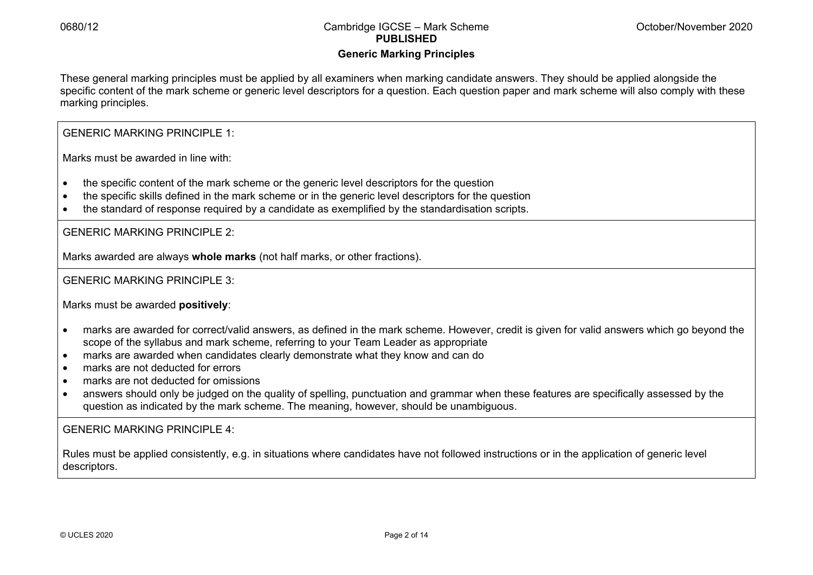### **Generic Marking Principles**

These general marking principles must be applied by all examiners when marking candidate answers. They should be applied alongside the specific content of the mark scheme or generic level descriptors for a question. Each question paper and mark scheme will also comply with these marking principles.

GENERIC MARKING PRINCIPLE 1:

Marks must be awarded in line with:

- the specific content of the mark scheme or the generic level descriptors for the question
- the specific skills defined in the mark scheme or in the generic level descriptors for the question
- the standard of response required by a candidate as exemplified by the standardisation scripts.

GENERIC MARKING PRINCIPLE 2:

Marks awarded are always **whole marks** (not half marks, or other fractions).

GENERIC MARKING PRINCIPLE 3:

Marks must be awarded **positively**:

- marks are awarded for correct/valid answers, as defined in the mark scheme. However, credit is given for valid answers which go beyond the scope of the syllabus and mark scheme, referring to your Team Leader as appropriate
- marks are awarded when candidates clearly demonstrate what they know and can do
- marks are not deducted for errors
- marks are not deducted for omissions
- answers should only be judged on the quality of spelling, punctuation and grammar when these features are specifically assessed by the question as indicated by the mark scheme. The meaning, however, should be unambiguous.

GENERIC MARKING PRINCIPLE 4:

Rules must be applied consistently, e.g. in situations where candidates have not followed instructions or in the application of generic level descriptors.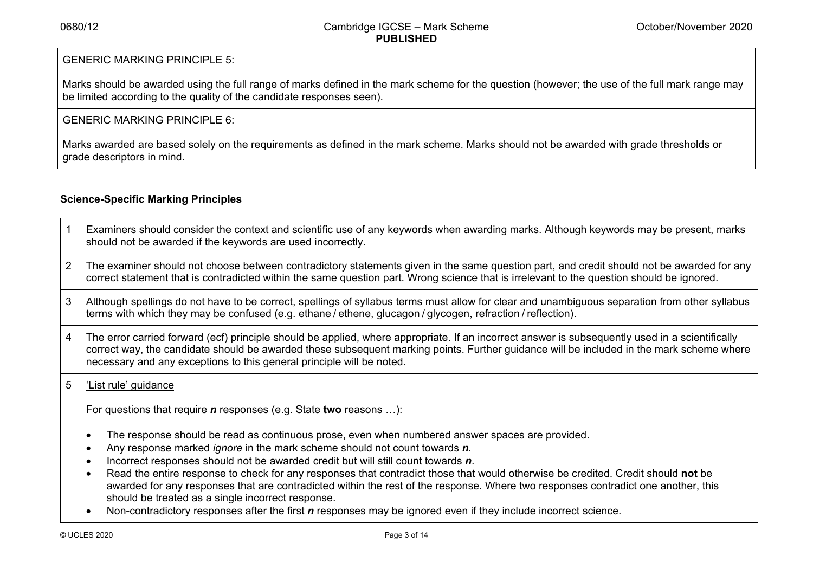## GENERIC MARKING PRINCIPLE 5:

Marks should be awarded using the full range of marks defined in the mark scheme for the question (however; the use of the full mark range may be limited according to the quality of the candidate responses seen).

## GENERIC MARKING PRINCIPLE 6:

Marks awarded are based solely on the requirements as defined in the mark scheme. Marks should not be awarded with grade thresholds or grade descriptors in mind.

## **Science-Specific Marking Principles**

- 1 Examiners should consider the context and scientific use of any keywords when awarding marks. Although keywords may be present, marks should not be awarded if the keywords are used incorrectly.
- 2 The examiner should not choose between contradictory statements given in the same question part, and credit should not be awarded for any correct statement that is contradicted within the same question part. Wrong science that is irrelevant to the question should be ignored.
- 3 Although spellings do not have to be correct, spellings of syllabus terms must allow for clear and unambiguous separation from other syllabus terms with which they may be confused (e.g. ethane / ethene, glucagon / glycogen, refraction / reflection).
- 4 The error carried forward (ecf) principle should be applied, where appropriate. If an incorrect answer is subsequently used in a scientifically correct way, the candidate should be awarded these subsequent marking points. Further guidance will be included in the mark scheme where necessary and any exceptions to this general principle will be noted.

## 5 'List rule' guidance

For questions that require *<sup>n</sup>* responses (e.g. State **two** reasons …):

- The response should be read as continuous prose, even when numbered answer spaces are provided.
- Any response marked *ignore* in the mark scheme should not count towards *n*.
- Incorrect responses should not be awarded credit but will still count towards *n*.
- Read the entire response to check for any responses that contradict those that would otherwise be credited. Credit should **not** be awarded for any responses that are contradicted within the rest of the response. Where two responses contradict one another, this should be treated as a single incorrect response.
- Non-contradictory responses after the first *n* responses may be ignored even if they include incorrect science.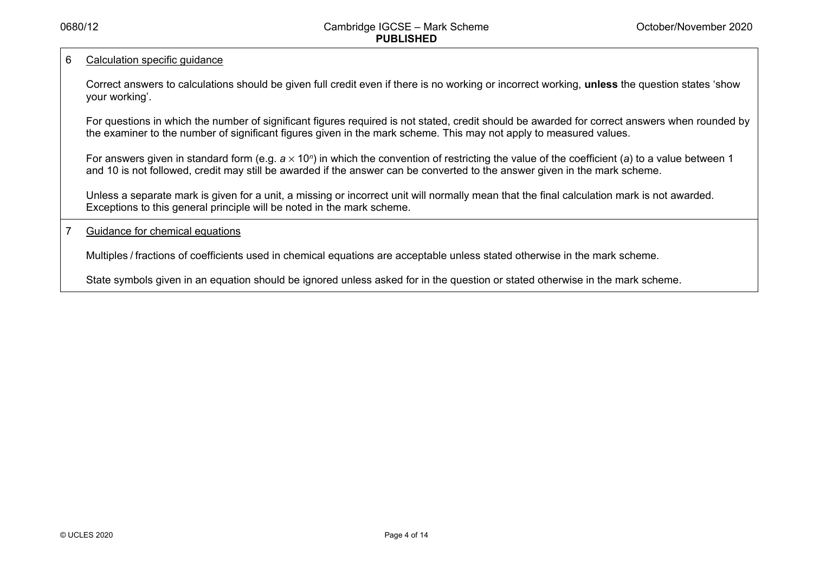#### 6 Calculation specific guidance

Correct answers to calculations should be given full credit even if there is no working or incorrect working, **unless** the question states 'show your working'.

For questions in which the number of significant figures required is not stated, credit should be awarded for correct answers when rounded by the examiner to the number of significant figures given in the mark scheme. This may not apply to measured values.

For answers given in standard form (e.g. a × 10<sup>*n*</sup>) in which the convention of restricting the value of the coefficient (a) to a value between 1 and 10 is not followed, credit may still be awarded if the answer can be converted to the answer given in the mark scheme.

Unless a separate mark is given for a unit, a missing or incorrect unit will normally mean that the final calculation mark is not awarded. Exceptions to this general principle will be noted in the mark scheme.

#### 7 Guidance for chemical equations

Multiples / fractions of coefficients used in chemical equations are acceptable unless stated otherwise in the mark scheme.

State symbols given in an equation should be ignored unless asked for in the question or stated otherwise in the mark scheme.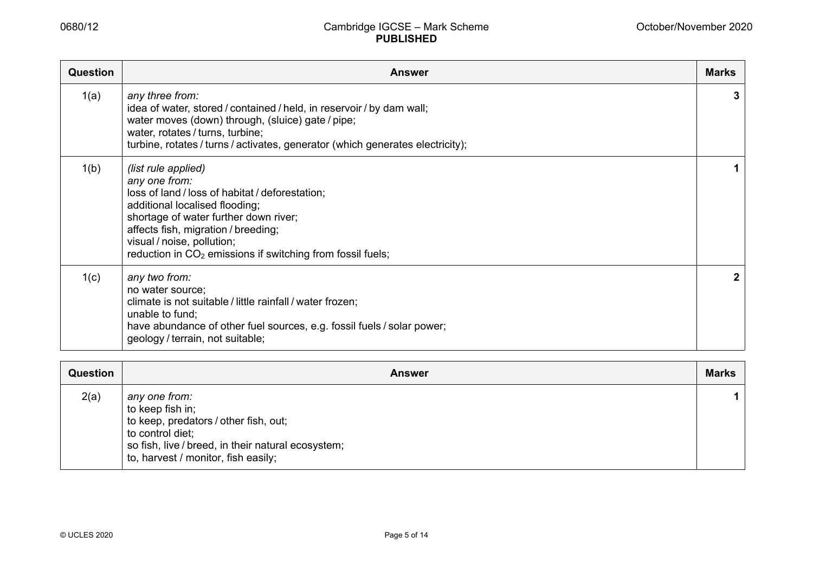| Question | <b>Answer</b>                                                                                                                                                                                                                                                                                                     | <b>Marks</b> |
|----------|-------------------------------------------------------------------------------------------------------------------------------------------------------------------------------------------------------------------------------------------------------------------------------------------------------------------|--------------|
| 1(a)     | any three from:<br>idea of water, stored / contained / held, in reservoir / by dam wall;<br>water moves (down) through, (sluice) gate/pipe;<br>water, rotates / turns, turbine;<br>turbine, rotates / turns / activates, generator (which generates electricity);                                                 | 3            |
| 1(b)     | (list rule applied)<br>any one from:<br>loss of land / loss of habitat / deforestation;<br>additional localised flooding;<br>shortage of water further down river;<br>affects fish, migration / breeding;<br>visual / noise, pollution;<br>reduction in CO <sub>2</sub> emissions if switching from fossil fuels; |              |
| 1(c)     | any two from:<br>no water source;<br>climate is not suitable / little rainfall / water frozen;<br>unable to fund;<br>have abundance of other fuel sources, e.g. fossil fuels / solar power;<br>geology / terrain, not suitable;                                                                                   | 2            |

| <b>Question</b> | <b>Answer</b>                                                                                                                                                                               | <b>Marks</b> |
|-----------------|---------------------------------------------------------------------------------------------------------------------------------------------------------------------------------------------|--------------|
| 2(a)            | any one from:<br>to keep fish in;<br>to keep, predators / other fish, out;<br>to control diet;<br>so fish, live / breed, in their natural ecosystem;<br>to, harvest / monitor, fish easily; |              |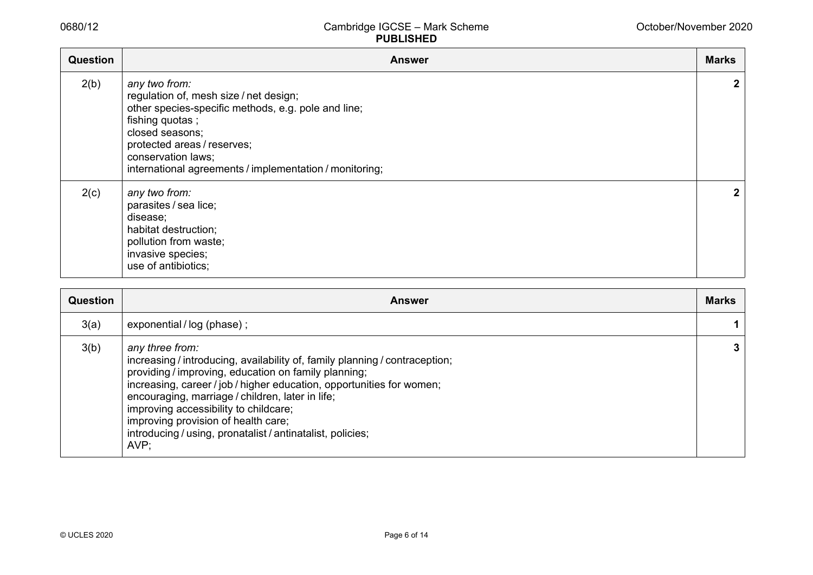| <b>Question</b> | <b>Answer</b>                                                                                                                                                                                                                                                        | <b>Marks</b>   |
|-----------------|----------------------------------------------------------------------------------------------------------------------------------------------------------------------------------------------------------------------------------------------------------------------|----------------|
| 2(b)            | any two from:<br>regulation of, mesh size / net design;<br>other species-specific methods, e.g. pole and line;<br>fishing quotas;<br>closed seasons;<br>protected areas / reserves;<br>conservation laws;<br>international agreements / implementation / monitoring; | $\overline{2}$ |
| 2(c)            | any two from:<br>parasites / sea lice;<br>disease;<br>habitat destruction;<br>pollution from waste;<br>invasive species;<br>use of antibiotics;                                                                                                                      | $\mathbf{2}$   |

| <b>Question</b> | <b>Answer</b>                                                                                                                                                                                                                                                                                                                                                                                                                             | <b>Marks</b> |
|-----------------|-------------------------------------------------------------------------------------------------------------------------------------------------------------------------------------------------------------------------------------------------------------------------------------------------------------------------------------------------------------------------------------------------------------------------------------------|--------------|
| 3(a)            | exponential / log (phase);                                                                                                                                                                                                                                                                                                                                                                                                                |              |
| 3(b)            | any three from:<br>increasing / introducing, availability of, family planning / contraception;<br>providing / improving, education on family planning;<br>increasing, career / job / higher education, opportunities for women;<br>encouraging, marriage / children, later in life;<br>improving accessibility to childcare;<br>improving provision of health care;<br>introducing / using, pronatalist / antinatalist, policies;<br>AVP: | 3            |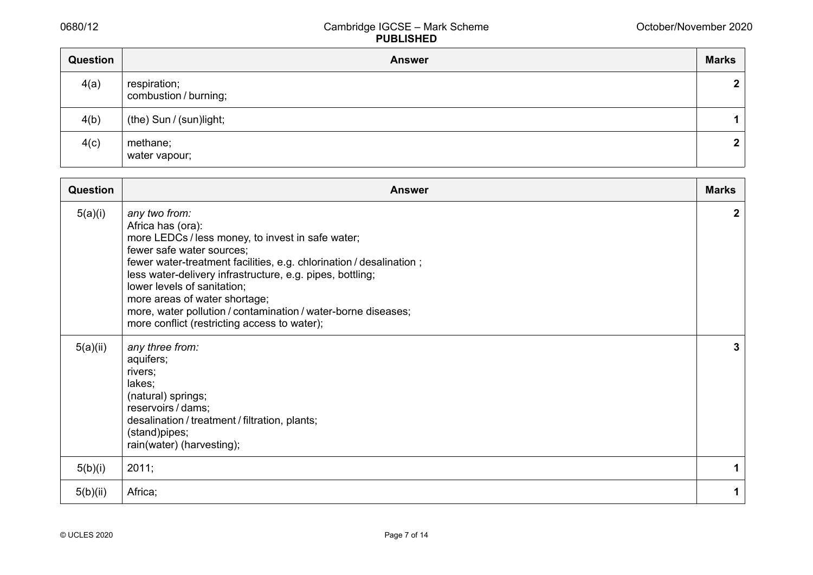| Question | <b>Answer</b>                         | <b>Marks</b>   |
|----------|---------------------------------------|----------------|
| 4(a)     | respiration;<br>combustion / burning; | $\mathbf{2}$   |
| 4(b)     | (the) Sun / (sun)light;               | 1              |
| 4(c)     | methane;<br>water vapour;             | $\overline{2}$ |

| <b>Question</b> | <b>Answer</b>                                                                                                                                                                                                                                                                                                                                                                                                                             | <b>Marks</b> |
|-----------------|-------------------------------------------------------------------------------------------------------------------------------------------------------------------------------------------------------------------------------------------------------------------------------------------------------------------------------------------------------------------------------------------------------------------------------------------|--------------|
| 5(a)(i)         | any two from:<br>Africa has (ora):<br>more LEDCs / less money, to invest in safe water;<br>fewer safe water sources;<br>fewer water-treatment facilities, e.g. chlorination / desalination;<br>less water-delivery infrastructure, e.g. pipes, bottling;<br>lower levels of sanitation;<br>more areas of water shortage;<br>more, water pollution / contamination / water-borne diseases;<br>more conflict (restricting access to water); | $\mathbf{2}$ |
| 5(a)(ii)        | any three from:<br>aquifers;<br>rivers;<br>lakes;<br>(natural) springs;<br>reservoirs / dams;<br>desalination / treatment / filtration, plants;<br>(stand)pipes;<br>rain(water) (harvesting);                                                                                                                                                                                                                                             | 3            |
| 5(b)(i)         | 2011;                                                                                                                                                                                                                                                                                                                                                                                                                                     | 1            |
| 5(b)(ii)        | Africa;                                                                                                                                                                                                                                                                                                                                                                                                                                   | 1            |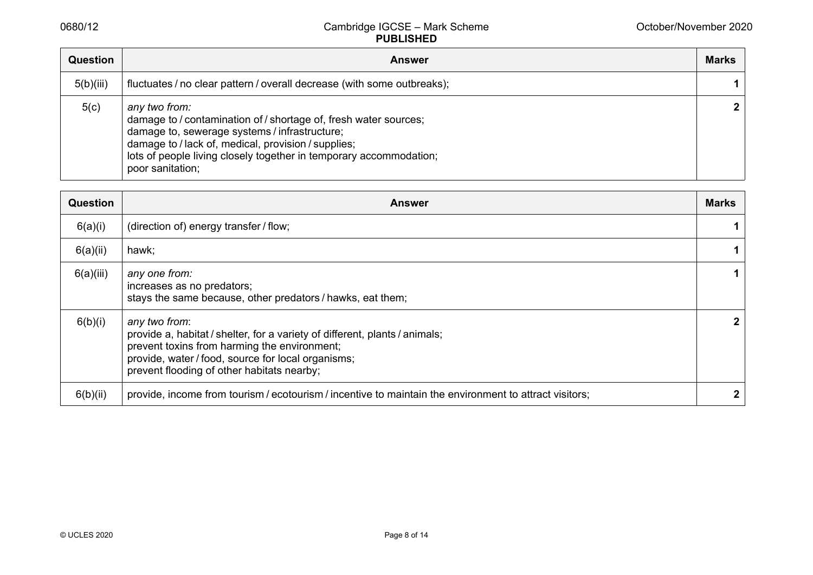| <b>Question</b> | <b>Answer</b>                                                                                                                                                                                                                                                                       | <b>Marks</b> |
|-----------------|-------------------------------------------------------------------------------------------------------------------------------------------------------------------------------------------------------------------------------------------------------------------------------------|--------------|
| 5(b)(iii)       | fluctuates / no clear pattern / overall decrease (with some outbreaks);                                                                                                                                                                                                             |              |
| 5(c)            | any two from:<br>damage to / contamination of / shortage of, fresh water sources;<br>damage to, sewerage systems / infrastructure;<br>damage to / lack of, medical, provision / supplies;<br>lots of people living closely together in temporary accommodation;<br>poor sanitation; | $\mathbf{2}$ |

| <b>Question</b> | <b>Answer</b>                                                                                                                                                                                                                                    | <b>Marks</b> |
|-----------------|--------------------------------------------------------------------------------------------------------------------------------------------------------------------------------------------------------------------------------------------------|--------------|
| 6(a)(i)         | (direction of) energy transfer / flow;                                                                                                                                                                                                           | 1            |
| 6(a)(ii)        | hawk;                                                                                                                                                                                                                                            | 1            |
| 6(a)(iii)       | any one from:<br>increases as no predators;<br>stays the same because, other predators / hawks, eat them;                                                                                                                                        | 1            |
| 6(b)(i)         | any two from:<br>provide a, habitat / shelter, for a variety of different, plants / animals;<br>prevent toxins from harming the environment;<br>provide, water / food, source for local organisms;<br>prevent flooding of other habitats nearby; | 2            |
| 6(b)(ii)        | provide, income from tourism / ecotourism / incentive to maintain the environment to attract visitors;                                                                                                                                           |              |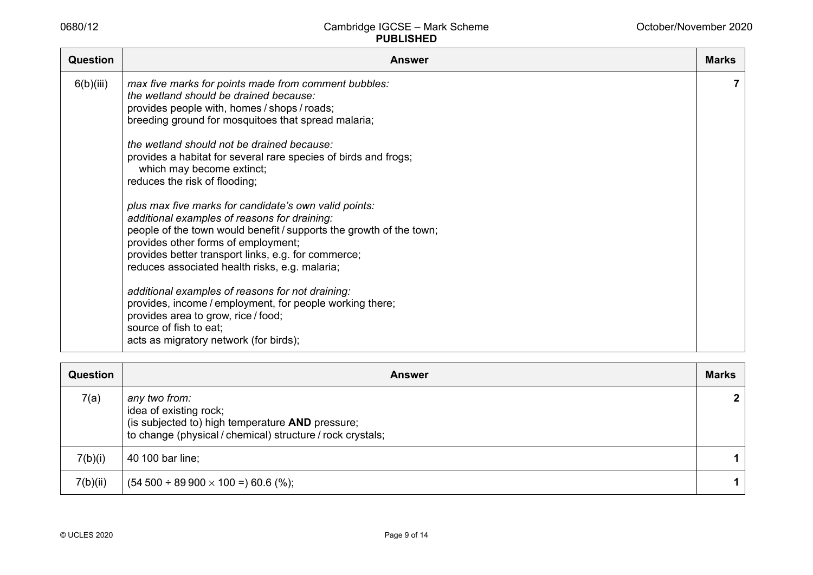| <b>Question</b> | <b>Answer</b>                                                                                                                                                                                                                                                                                                                                                                                                                                                                                                                                                                                                                                                                                                                                                                                                                                                               | <b>Marks</b> |
|-----------------|-----------------------------------------------------------------------------------------------------------------------------------------------------------------------------------------------------------------------------------------------------------------------------------------------------------------------------------------------------------------------------------------------------------------------------------------------------------------------------------------------------------------------------------------------------------------------------------------------------------------------------------------------------------------------------------------------------------------------------------------------------------------------------------------------------------------------------------------------------------------------------|--------------|
| 6(b)(iii)       | max five marks for points made from comment bubbles:<br>the wetland should be drained because:<br>provides people with, homes / shops / roads;<br>breeding ground for mosquitoes that spread malaria;<br>the wetland should not be drained because:<br>provides a habitat for several rare species of birds and frogs;<br>which may become extinct;<br>reduces the risk of flooding;<br>plus max five marks for candidate's own valid points:<br>additional examples of reasons for draining:<br>people of the town would benefit / supports the growth of the town;<br>provides other forms of employment;<br>provides better transport links, e.g. for commerce;<br>reduces associated health risks, e.g. malaria;<br>additional examples of reasons for not draining:<br>provides, income / employment, for people working there;<br>provides area to grow, rice / food; | 7            |
|                 | source of fish to eat;<br>acts as migratory network (for birds);                                                                                                                                                                                                                                                                                                                                                                                                                                                                                                                                                                                                                                                                                                                                                                                                            |              |

| <b>Question</b> | <b>Answer</b>                                                                                                                                             | <b>Marks</b> |
|-----------------|-----------------------------------------------------------------------------------------------------------------------------------------------------------|--------------|
| 7(a)            | any two from:<br>idea of existing rock;<br>(is subjected to) high temperature AND pressure;<br>to change (physical / chemical) structure / rock crystals; |              |
| 7(b)(i)         | 40 100 bar line;                                                                                                                                          |              |
| 7(b)(ii)        | $(54\,500 \div 89\,900 \times 100 = 60.6$ (%);                                                                                                            | 1            |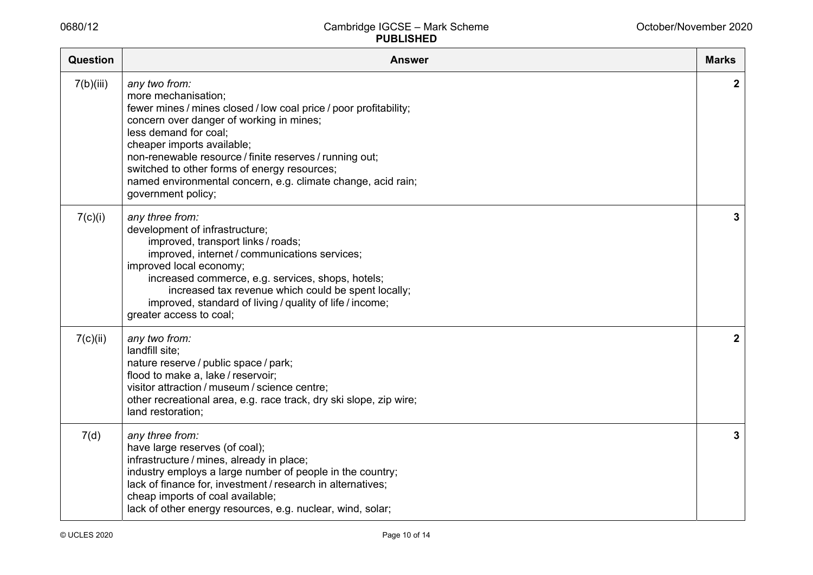| <b>Question</b> | <b>Answer</b>                                                                                                                                                                                                                                                                                                                                                                                                 | <b>Marks</b> |
|-----------------|---------------------------------------------------------------------------------------------------------------------------------------------------------------------------------------------------------------------------------------------------------------------------------------------------------------------------------------------------------------------------------------------------------------|--------------|
| 7(b)(iii)       | any two from:<br>more mechanisation;<br>fewer mines / mines closed / low coal price / poor profitability;<br>concern over danger of working in mines;<br>less demand for coal;<br>cheaper imports available;<br>non-renewable resource / finite reserves / running out;<br>switched to other forms of energy resources;<br>named environmental concern, e.g. climate change, acid rain;<br>government policy; | $\mathbf{2}$ |
| 7(c)(i)         | any three from:<br>development of infrastructure;<br>improved, transport links / roads;<br>improved, internet / communications services;<br>improved local economy;<br>increased commerce, e.g. services, shops, hotels;<br>increased tax revenue which could be spent locally;<br>improved, standard of living / quality of life / income;<br>greater access to coal;                                        | 3            |
| 7(c)(ii)        | any two from:<br>landfill site;<br>nature reserve / public space / park;<br>flood to make a, lake / reservoir;<br>visitor attraction / museum / science centre;<br>other recreational area, e.g. race track, dry ski slope, zip wire;<br>land restoration;                                                                                                                                                    | $\mathbf{2}$ |
| 7(d)            | any three from:<br>have large reserves (of coal);<br>infrastructure / mines, already in place;<br>industry employs a large number of people in the country;<br>lack of finance for, investment / research in alternatives;<br>cheap imports of coal available;<br>lack of other energy resources, e.g. nuclear, wind, solar;                                                                                  | 3            |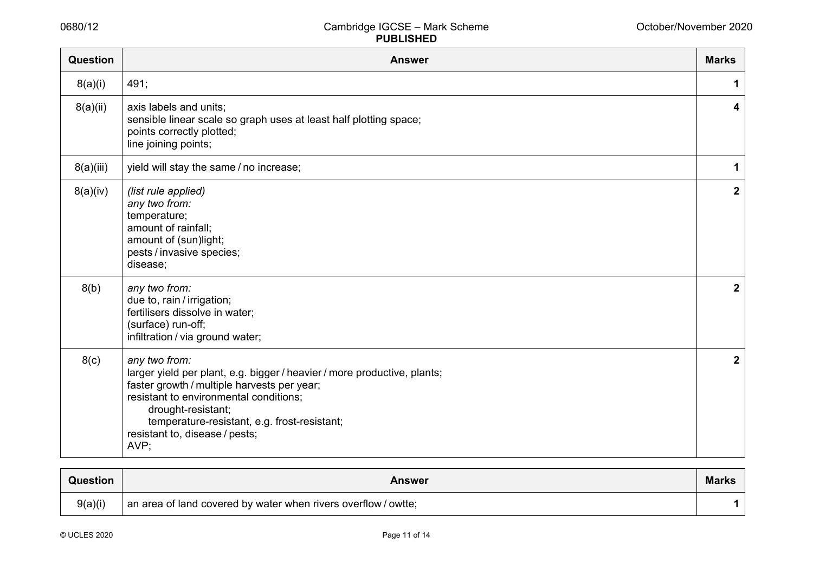| <b>Question</b>  | <b>Answer</b>                                                                                                                                                                                                                                                                                      | <b>Marks</b>            |
|------------------|----------------------------------------------------------------------------------------------------------------------------------------------------------------------------------------------------------------------------------------------------------------------------------------------------|-------------------------|
| 8(a)(i)          | 491;                                                                                                                                                                                                                                                                                               | 1                       |
| 8(a)(ii)         | axis labels and units;<br>sensible linear scale so graph uses at least half plotting space;<br>points correctly plotted;<br>line joining points;                                                                                                                                                   | 4                       |
| 8(a)(iii)        | yield will stay the same / no increase;                                                                                                                                                                                                                                                            | 1                       |
| 8(a)(iv)         | (list rule applied)<br>any two from:<br>temperature;<br>amount of rainfall;<br>amount of (sun)light;<br>pests / invasive species;<br>disease;                                                                                                                                                      | $\overline{\mathbf{2}}$ |
| 8(b)             | any two from:<br>due to, rain / irrigation;<br>fertilisers dissolve in water;<br>(surface) run-off;<br>infiltration / via ground water;                                                                                                                                                            | $\mathbf{2}$            |
| 8 <sub>(c)</sub> | any two from:<br>larger yield per plant, e.g. bigger / heavier / more productive, plants;<br>faster growth / multiple harvests per year;<br>resistant to environmental conditions;<br>drought-resistant;<br>temperature-resistant, e.g. frost-resistant;<br>resistant to, disease / pests;<br>AVP; | $\boldsymbol{2}$        |

| Question | <b>Answer</b>                                                  | <b>Marks</b> |  |
|----------|----------------------------------------------------------------|--------------|--|
| 9(a)(i)  | an area of land covered by water when rivers overflow / owtte; |              |  |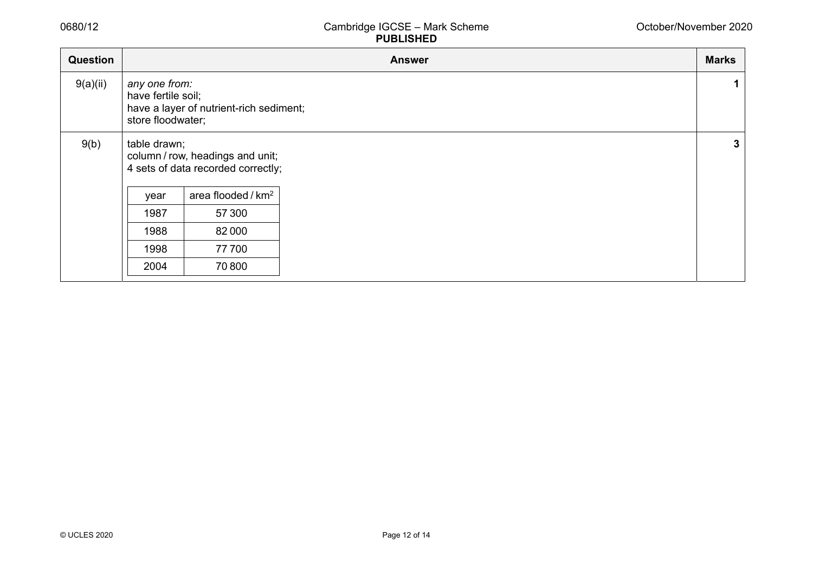| Question |                                                                                                     |                                                                        | <b>Answer</b> | <b>Marks</b> |
|----------|-----------------------------------------------------------------------------------------------------|------------------------------------------------------------------------|---------------|--------------|
| 9(a)(ii) | any one from:<br>have fertile soil;<br>have a layer of nutrient-rich sediment;<br>store floodwater; |                                                                        |               | 1            |
| 9(b)     | table drawn;                                                                                        | column / row, headings and unit;<br>4 sets of data recorded correctly; |               | $\mathbf{3}$ |
|          | year                                                                                                | area flooded / km <sup>2</sup>                                         |               |              |
|          | 1987                                                                                                | 57 300                                                                 |               |              |
|          | 1988                                                                                                | 82000                                                                  |               |              |
|          | 1998                                                                                                | 77700                                                                  |               |              |
|          | 2004                                                                                                | 70800                                                                  |               |              |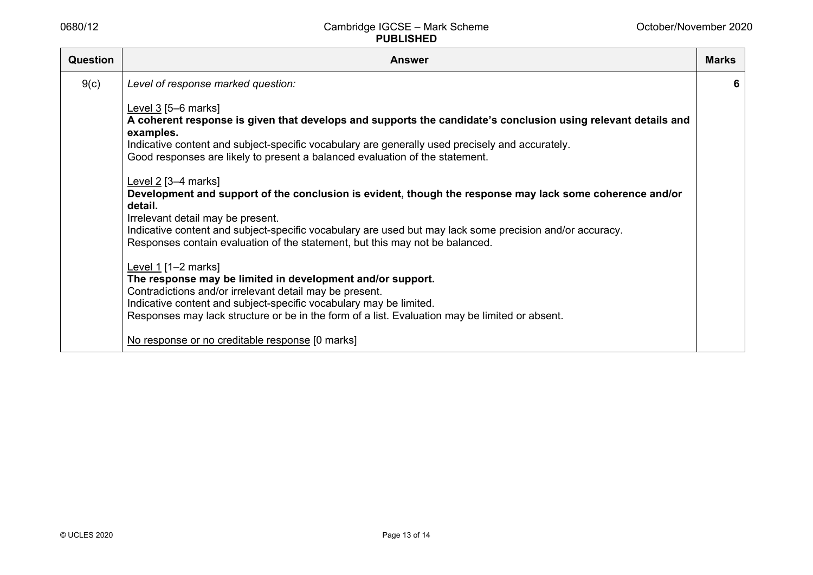| <b>Question</b> | <b>Answer</b>                                                                                                                                                                            | <b>Marks</b> |
|-----------------|------------------------------------------------------------------------------------------------------------------------------------------------------------------------------------------|--------------|
| 9(c)            | Level of response marked question:                                                                                                                                                       | 6            |
|                 | Level $3$ [5-6 marks]                                                                                                                                                                    |              |
|                 | A coherent response is given that develops and supports the candidate's conclusion using relevant details and<br>examples.                                                               |              |
|                 | Indicative content and subject-specific vocabulary are generally used precisely and accurately.<br>Good responses are likely to present a balanced evaluation of the statement.          |              |
|                 | Level $2$ [3-4 marks]                                                                                                                                                                    |              |
|                 | Development and support of the conclusion is evident, though the response may lack some coherence and/or<br>detail.                                                                      |              |
|                 | Irrelevant detail may be present.                                                                                                                                                        |              |
|                 | Indicative content and subject-specific vocabulary are used but may lack some precision and/or accuracy.<br>Responses contain evaluation of the statement, but this may not be balanced. |              |
|                 | Level $1$ [1-2 marks]                                                                                                                                                                    |              |
|                 | The response may be limited in development and/or support.                                                                                                                               |              |
|                 | Contradictions and/or irrelevant detail may be present.<br>Indicative content and subject-specific vocabulary may be limited.                                                            |              |
|                 | Responses may lack structure or be in the form of a list. Evaluation may be limited or absent.                                                                                           |              |
|                 | No response or no creditable response [0 marks]                                                                                                                                          |              |